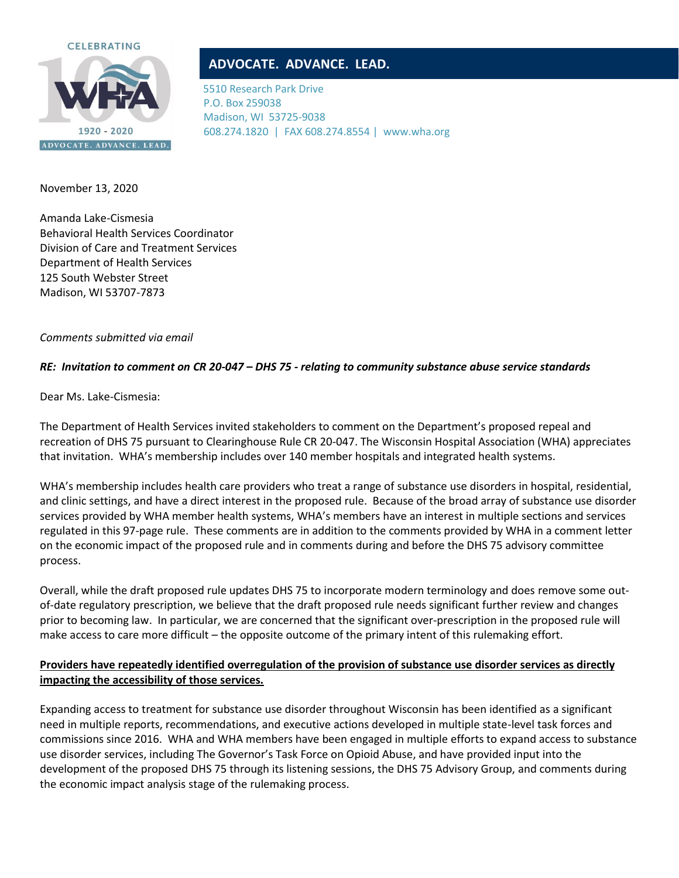

# **ADVOCATE. ADVANCE. LEAD.**

5510 Research Park Drive P.O. Box 259038 Madison, WI 53725-9038 608.274.1820 | FAX 608.274.8554 | www.wha.org

November 13, 2020

Amanda Lake-Cismesia Behavioral Health Services Coordinator Division of Care and Treatment Services Department of Health Services 125 South Webster Street Madison, WI 53707-7873

#### *Comments submitted via email*

### *RE: Invitation to comment on CR 20-047 – DHS 75 - relating to community substance abuse service standards*

Dear Ms. Lake-Cismesia:

The Department of Health Services invited stakeholders to comment on the Department's proposed repeal and recreation of DHS 75 pursuant to Clearinghouse Rule CR 20-047. The Wisconsin Hospital Association (WHA) appreciates that invitation. WHA's membership includes over 140 member hospitals and integrated health systems.

WHA's membership includes health care providers who treat a range of substance use disorders in hospital, residential, and clinic settings, and have a direct interest in the proposed rule. Because of the broad array of substance use disorder services provided by WHA member health systems, WHA's members have an interest in multiple sections and services regulated in this 97-page rule. These comments are in addition to the comments provided by WHA in a comment letter on the economic impact of the proposed rule and in comments during and before the DHS 75 advisory committee process.

Overall, while the draft proposed rule updates DHS 75 to incorporate modern terminology and does remove some outof-date regulatory prescription, we believe that the draft proposed rule needs significant further review and changes prior to becoming law. In particular, we are concerned that the significant over-prescription in the proposed rule will make access to care more difficult – the opposite outcome of the primary intent of this rulemaking effort.

## **Providers have repeatedly identified overregulation of the provision of substance use disorder services as directly impacting the accessibility of those services.**

Expanding access to treatment for substance use disorder throughout Wisconsin has been identified as a significant need in multiple reports, recommendations, and executive actions developed in multiple state-level task forces and commissions since 2016. WHA and WHA members have been engaged in multiple efforts to expand access to substance use disorder services, including The Governor's Task Force on Opioid Abuse, and have provided input into the development of the proposed DHS 75 through its listening sessions, the DHS 75 Advisory Group, and comments during the economic impact analysis stage of the rulemaking process.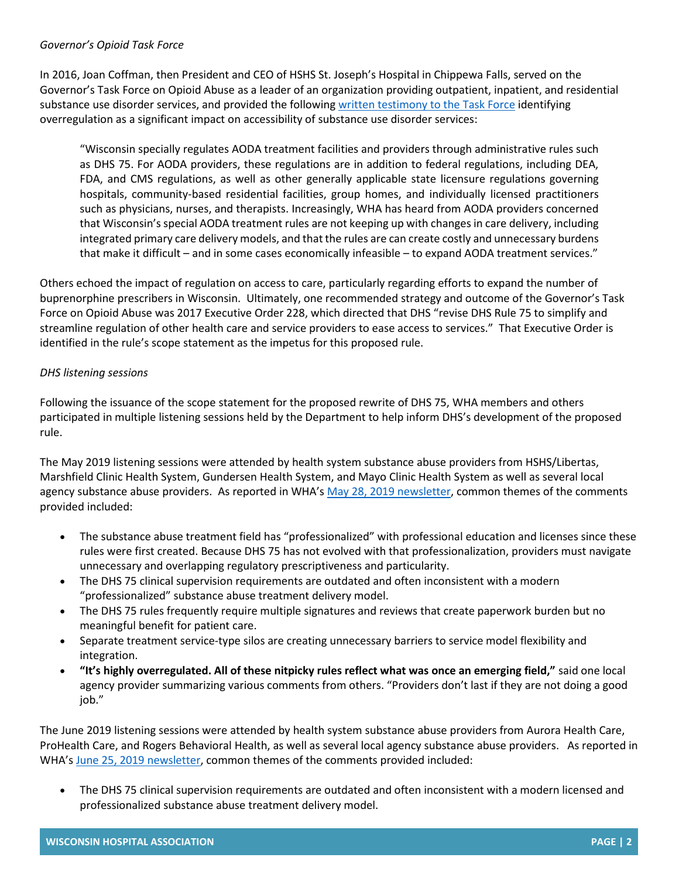#### *Governor's Opioid Task Force*

In 2016, Joan Coffman, then President and CEO of HSHS St. Joseph's Hospital in Chippewa Falls, served on the Governor's Task Force on Opioid Abuse as a leader of an organization providing outpatient, inpatient, and residential substance use disorder services, and provided the following [written testimony to the Task Force](https://www.wha.org/WisconsinHospitalAssociation/media/WHANewsLetters/2016PDF/GovernorsOpioidTaskForceMeeting10-28-16.pdf) identifying overregulation as a significant impact on accessibility of substance use disorder services:

"Wisconsin specially regulates AODA treatment facilities and providers through administrative rules such as DHS 75. For AODA providers, these regulations are in addition to federal regulations, including DEA, FDA, and CMS regulations, as well as other generally applicable state licensure regulations governing hospitals, community-based residential facilities, group homes, and individually licensed practitioners such as physicians, nurses, and therapists. Increasingly, WHA has heard from AODA providers concerned that Wisconsin's special AODA treatment rules are not keeping up with changes in care delivery, including integrated primary care delivery models, and that the rules are can create costly and unnecessary burdens that make it difficult – and in some cases economically infeasible – to expand AODA treatment services."

Others echoed the impact of regulation on access to care, particularly regarding efforts to expand the number of buprenorphine prescribers in Wisconsin. Ultimately, one recommended strategy and outcome of the Governor's Task Force on Opioid Abuse was 2017 Executive Order 228, which directed that DHS "revise DHS Rule 75 to simplify and streamline regulation of other health care and service providers to ease access to services." That Executive Order is identified in the rule's scope statement as the impetus for this proposed rule.

### *DHS listening sessions*

Following the issuance of the scope statement for the proposed rewrite of DHS 75, WHA members and others participated in multiple listening sessions held by the Department to help inform DHS's development of the proposed rule.

The May 2019 listening sessions were attended by health system substance abuse providers from HSHS/Libertas, Marshfield Clinic Health System, Gundersen Health System, and Mayo Clinic Health System as well as several local agency substance abuse providers. As reported in WHA's [May 28, 2019 newsletter,](https://www.wha.org/MediaRoom/WHANewsletter/2019/05-28-2019/Active-Week-for-WHA-Behavioral-Health-Regulatory-R) common themes of the comments provided included:

- The substance abuse treatment field has "professionalized" with professional education and licenses since these rules were first created. Because DHS 75 has not evolved with that professionalization, providers must navigate unnecessary and overlapping regulatory prescriptiveness and particularity.
- The DHS 75 clinical supervision requirements are outdated and often inconsistent with a modern "professionalized" substance abuse treatment delivery model.
- The DHS 75 rules frequently require multiple signatures and reviews that create paperwork burden but no meaningful benefit for patient care.
- Separate treatment service-type silos are creating unnecessary barriers to service model flexibility and integration.
- **"It's highly overregulated. All of these nitpicky rules reflect what was once an emerging field,"** said one local agency provider summarizing various comments from others. "Providers don't last if they are not doing a good job."

The June 2019 listening sessions were attended by health system substance abuse providers from Aurora Health Care, ProHealth Care, and Rogers Behavioral Health, as well as several local agency substance abuse providers. As reported in WHA's [June 25, 2019 newsletter,](https://www.wha.org/MediaRoom/WHANewsletter/2019/06-25-2019/WHA-Members-Provide-Feedback-on-DHS-75-Substance-A) common themes of the comments provided included:

• The DHS 75 clinical supervision requirements are outdated and often inconsistent with a modern licensed and professionalized substance abuse treatment delivery model.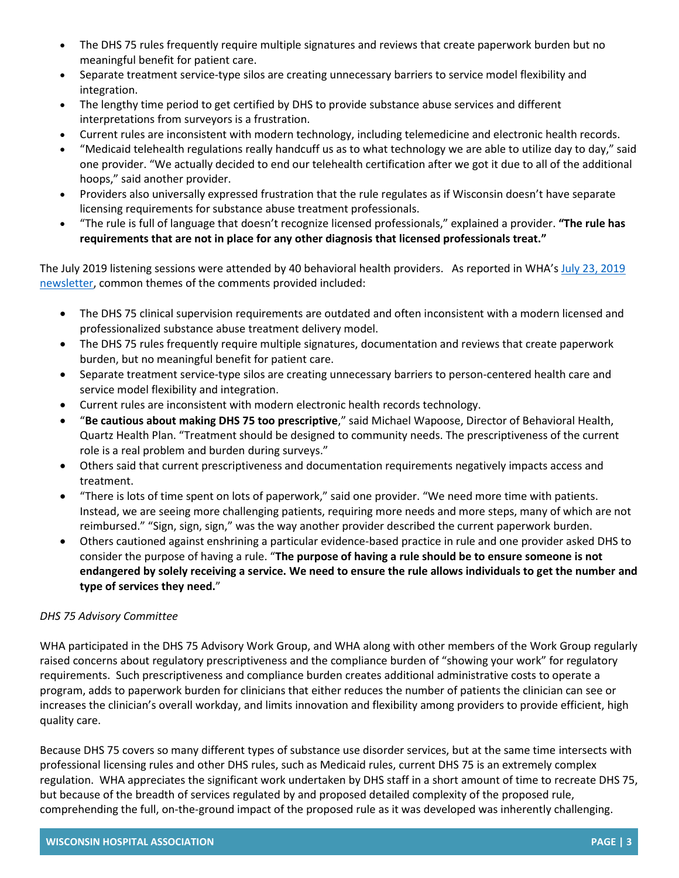- The DHS 75 rules frequently require multiple signatures and reviews that create paperwork burden but no meaningful benefit for patient care.
- Separate treatment service-type silos are creating unnecessary barriers to service model flexibility and integration.
- The lengthy time period to get certified by DHS to provide substance abuse services and different interpretations from surveyors is a frustration.
- Current rules are inconsistent with modern technology, including telemedicine and electronic health records.
- "Medicaid telehealth regulations really handcuff us as to what technology we are able to utilize day to day," said one provider. "We actually decided to end our telehealth certification after we got it due to all of the additional hoops," said another provider.
- Providers also universally expressed frustration that the rule regulates as if Wisconsin doesn't have separate licensing requirements for substance abuse treatment professionals.
- "The rule is full of language that doesn't recognize licensed professionals," explained a provider. **"The rule has requirements that are not in place for any other diagnosis that licensed professionals treat."**

The July 2019 listening sessions were attended by 40 behavioral health providers. As reported in WHA's July 23, 2019 [newsletter,](https://www.wha.org/MediaRoom/WHANewsletter/2019/07-23-2019/DHS-75-Substance-Abuse-Treatment-Rule-Listening-Se) common themes of the comments provided included:

- The DHS 75 clinical supervision requirements are outdated and often inconsistent with a modern licensed and professionalized substance abuse treatment delivery model.
- The DHS 75 rules frequently require multiple signatures, documentation and reviews that create paperwork burden, but no meaningful benefit for patient care.
- Separate treatment service-type silos are creating unnecessary barriers to person-centered health care and service model flexibility and integration.
- Current rules are inconsistent with modern electronic health records technology.
- "**Be cautious about making DHS 75 too prescriptive**," said Michael Wapoose, Director of Behavioral Health, Quartz Health Plan. "Treatment should be designed to community needs. The prescriptiveness of the current role is a real problem and burden during surveys."
- Others said that current prescriptiveness and documentation requirements negatively impacts access and treatment.
- "There is lots of time spent on lots of paperwork," said one provider. "We need more time with patients. Instead, we are seeing more challenging patients, requiring more needs and more steps, many of which are not reimbursed." "Sign, sign, sign," was the way another provider described the current paperwork burden.
- Others cautioned against enshrining a particular evidence-based practice in rule and one provider asked DHS to consider the purpose of having a rule. "**The purpose of having a rule should be to ensure someone is not endangered by solely receiving a service. We need to ensure the rule allows individuals to get the number and type of services they need.**"

## *DHS 75 Advisory Committee*

WHA participated in the DHS 75 Advisory Work Group, and WHA along with other members of the Work Group regularly raised concerns about regulatory prescriptiveness and the compliance burden of "showing your work" for regulatory requirements. Such prescriptiveness and compliance burden creates additional administrative costs to operate a program, adds to paperwork burden for clinicians that either reduces the number of patients the clinician can see or increases the clinician's overall workday, and limits innovation and flexibility among providers to provide efficient, high quality care.

Because DHS 75 covers so many different types of substance use disorder services, but at the same time intersects with professional licensing rules and other DHS rules, such as Medicaid rules, current DHS 75 is an extremely complex regulation. WHA appreciates the significant work undertaken by DHS staff in a short amount of time to recreate DHS 75, but because of the breadth of services regulated by and proposed detailed complexity of the proposed rule, comprehending the full, on-the-ground impact of the proposed rule as it was developed was inherently challenging.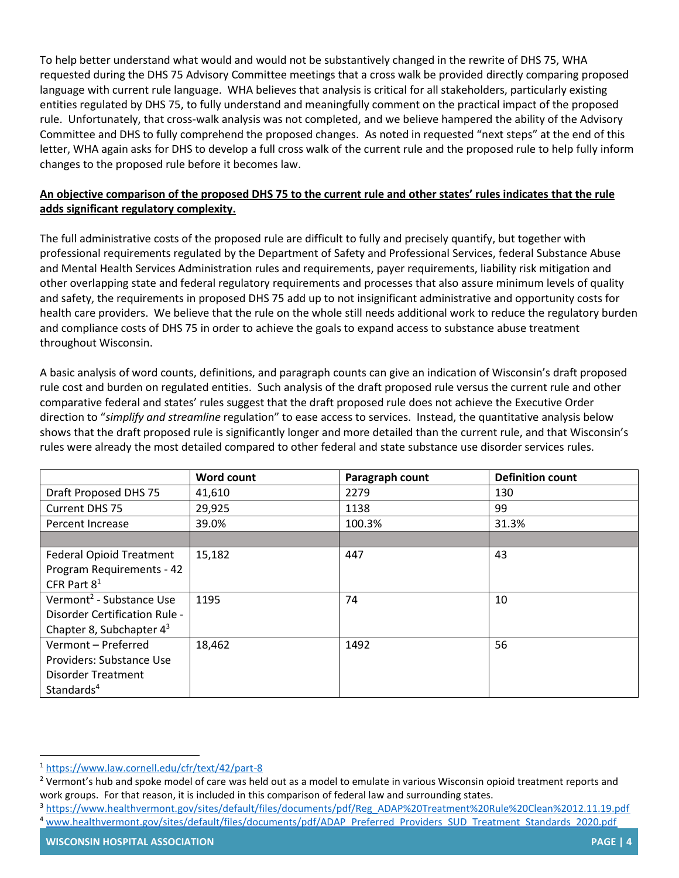To help better understand what would and would not be substantively changed in the rewrite of DHS 75, WHA requested during the DHS 75 Advisory Committee meetings that a cross walk be provided directly comparing proposed language with current rule language. WHA believes that analysis is critical for all stakeholders, particularly existing entities regulated by DHS 75, to fully understand and meaningfully comment on the practical impact of the proposed rule. Unfortunately, that cross-walk analysis was not completed, and we believe hampered the ability of the Advisory Committee and DHS to fully comprehend the proposed changes. As noted in requested "next steps" at the end of this letter, WHA again asks for DHS to develop a full cross walk of the current rule and the proposed rule to help fully inform changes to the proposed rule before it becomes law.

### **An objective comparison of the proposed DHS 75 to the current rule and other states' rules indicates that the rule adds significant regulatory complexity.**

The full administrative costs of the proposed rule are difficult to fully and precisely quantify, but together with professional requirements regulated by the Department of Safety and Professional Services, federal Substance Abuse and Mental Health Services Administration rules and requirements, payer requirements, liability risk mitigation and other overlapping state and federal regulatory requirements and processes that also assure minimum levels of quality and safety, the requirements in proposed DHS 75 add up to not insignificant administrative and opportunity costs for health care providers. We believe that the rule on the whole still needs additional work to reduce the regulatory burden and compliance costs of DHS 75 in order to achieve the goals to expand access to substance abuse treatment throughout Wisconsin.

A basic analysis of word counts, definitions, and paragraph counts can give an indication of Wisconsin's draft proposed rule cost and burden on regulated entities. Such analysis of the draft proposed rule versus the current rule and other comparative federal and states' rules suggest that the draft proposed rule does not achieve the Executive Order direction to "*simplify and streamline* regulation" to ease access to services. Instead, the quantitative analysis below shows that the draft proposed rule is significantly longer and more detailed than the current rule, and that Wisconsin's rules were already the most detailed compared to other federal and state substance use disorder services rules.

|                                      | <b>Word count</b> | Paragraph count | <b>Definition count</b> |
|--------------------------------------|-------------------|-----------------|-------------------------|
| Draft Proposed DHS 75                | 41,610            | 2279            | 130                     |
| Current DHS 75                       | 29,925            | 1138            | 99                      |
| Percent Increase                     | 39.0%             | 100.3%          | 31.3%                   |
|                                      |                   |                 |                         |
| <b>Federal Opioid Treatment</b>      | 15,182            | 447             | 43                      |
| Program Requirements - 42            |                   |                 |                         |
| CFR Part $8^1$                       |                   |                 |                         |
| Vermont <sup>2</sup> - Substance Use | 1195              | 74              | 10                      |
| Disorder Certification Rule -        |                   |                 |                         |
| Chapter 8, Subchapter $4^3$          |                   |                 |                         |
| Vermont - Preferred                  | 18,462            | 1492            | 56                      |
| Providers: Substance Use             |                   |                 |                         |
| <b>Disorder Treatment</b>            |                   |                 |                         |
| Standards <sup>4</sup>               |                   |                 |                         |

<sup>1</sup> <https://www.law.cornell.edu/cfr/text/42/part-8>

<sup>&</sup>lt;sup>2</sup> Vermont's hub and spoke model of care was held out as a model to emulate in various Wisconsin opioid treatment reports and work groups. For that reason, it is included in this comparison of federal law and surrounding states.

<sup>3</sup> [https://www.healthvermont.gov/sites/default/files/documents/pdf/Reg\\_ADAP%20Treatment%20Rule%20Clean%2012.11.19.pdf](https://www.healthvermont.gov/sites/default/files/documents/pdf/Reg_ADAP%20Treatment%20Rule%20Clean%2012.11.19.pdf) 4 [www.healthvermont.gov/sites/default/files/documents/pdf/ADAP\\_Preferred\\_Providers\\_SUD\\_Treatment\\_Standards\\_2020.pdf](https://www.healthvermont.gov/sites/default/files/documents/pdf/ADAP_Preferred_Providers_SUD_Treatment_Standards_2020.pdf)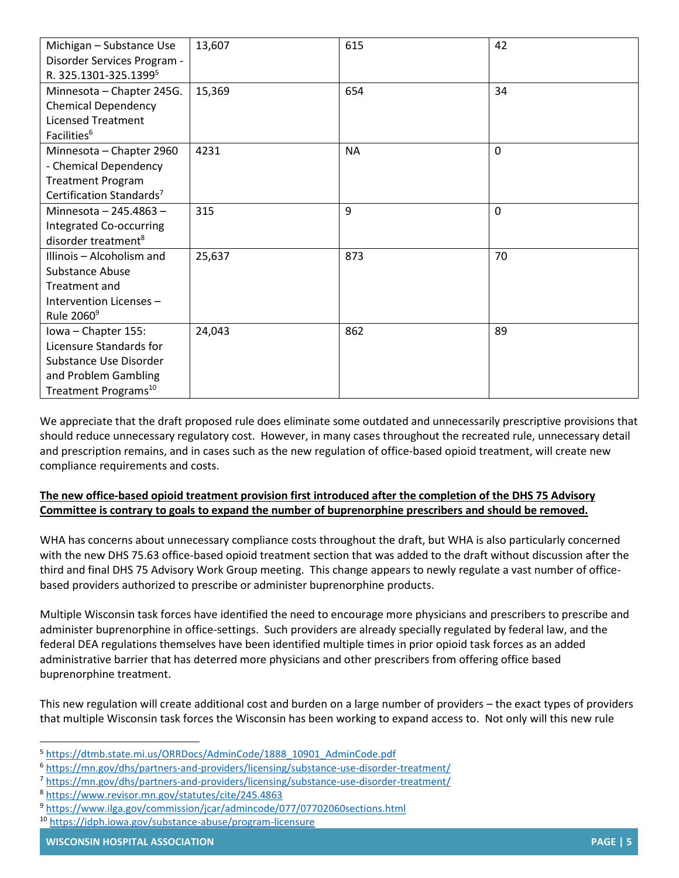| Michigan - Substance Use             | 13,607 | 615       | 42 |
|--------------------------------------|--------|-----------|----|
| Disorder Services Program -          |        |           |    |
| R. 325.1301-325.1399 <sup>5</sup>    |        |           |    |
| Minnesota - Chapter 245G.            | 15,369 | 654       | 34 |
| <b>Chemical Dependency</b>           |        |           |    |
| <b>Licensed Treatment</b>            |        |           |    |
| Facilities <sup>6</sup>              |        |           |    |
| Minnesota - Chapter 2960             | 4231   | <b>NA</b> | 0  |
| - Chemical Dependency                |        |           |    |
| <b>Treatment Program</b>             |        |           |    |
| Certification Standards <sup>7</sup> |        |           |    |
| Minnesota - 245.4863 -               | 315    | 9         | 0  |
| Integrated Co-occurring              |        |           |    |
| disorder treatment <sup>8</sup>      |        |           |    |
| Illinois - Alcoholism and            | 25,637 | 873       | 70 |
| <b>Substance Abuse</b>               |        |           |    |
| Treatment and                        |        |           |    |
| Intervention Licenses -              |        |           |    |
| Rule 2060 <sup>9</sup>               |        |           |    |
| Iowa - Chapter 155:                  | 24,043 | 862       | 89 |
| Licensure Standards for              |        |           |    |
| Substance Use Disorder               |        |           |    |
| and Problem Gambling                 |        |           |    |
| Treatment Programs <sup>10</sup>     |        |           |    |

We appreciate that the draft proposed rule does eliminate some outdated and unnecessarily prescriptive provisions that should reduce unnecessary regulatory cost. However, in many cases throughout the recreated rule, unnecessary detail and prescription remains, and in cases such as the new regulation of office-based opioid treatment, will create new compliance requirements and costs.

# **The new office-based opioid treatment provision first introduced after the completion of the DHS 75 Advisory Committee is contrary to goals to expand the number of buprenorphine prescribers and should be removed.**

WHA has concerns about unnecessary compliance costs throughout the draft, but WHA is also particularly concerned with the new DHS 75.63 office-based opioid treatment section that was added to the draft without discussion after the third and final DHS 75 Advisory Work Group meeting. This change appears to newly regulate a vast number of officebased providers authorized to prescribe or administer buprenorphine products.

Multiple Wisconsin task forces have identified the need to encourage more physicians and prescribers to prescribe and administer buprenorphine in office-settings. Such providers are already specially regulated by federal law, and the federal DEA regulations themselves have been identified multiple times in prior opioid task forces as an added administrative barrier that has deterred more physicians and other prescribers from offering office based buprenorphine treatment.

This new regulation will create additional cost and burden on a large number of providers – the exact types of providers that multiple Wisconsin task forces the Wisconsin has been working to expand access to. Not only will this new rule

<sup>5</sup> [https://dtmb.state.mi.us/ORRDocs/AdminCode/1888\\_10901\\_AdminCode.pdf](https://dtmb.state.mi.us/ORRDocs/AdminCode/1888_10901_AdminCode.pdf)

<sup>6</sup> <https://mn.gov/dhs/partners-and-providers/licensing/substance-use-disorder-treatment/>

<sup>7</sup> <https://mn.gov/dhs/partners-and-providers/licensing/substance-use-disorder-treatment/>

<sup>8</sup> <https://www.revisor.mn.gov/statutes/cite/245.4863>

<sup>9</sup> <https://www.ilga.gov/commission/jcar/admincode/077/07702060sections.html>

<sup>10</sup> <https://idph.iowa.gov/substance-abuse/program-licensure>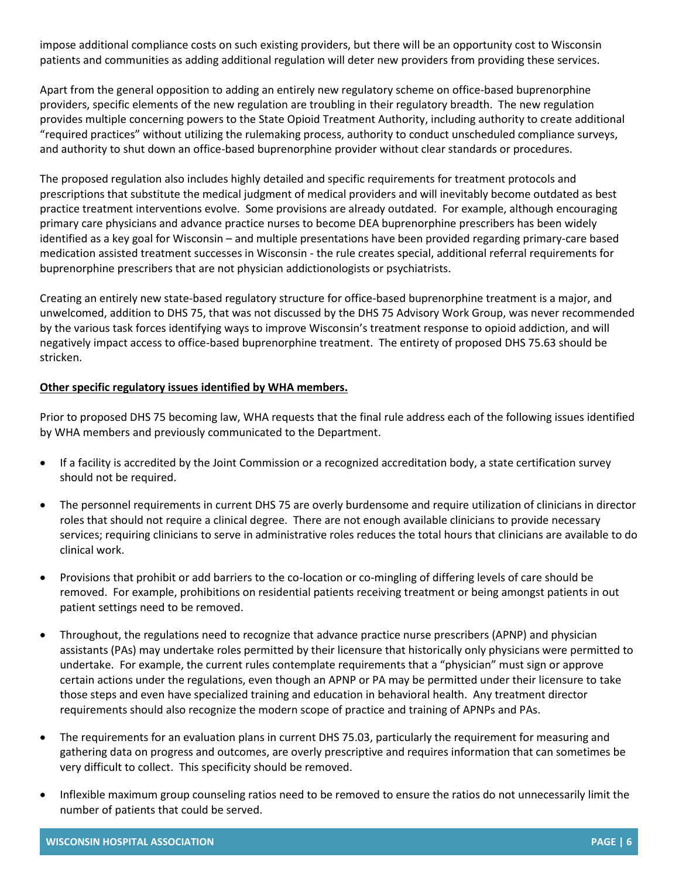impose additional compliance costs on such existing providers, but there will be an opportunity cost to Wisconsin patients and communities as adding additional regulation will deter new providers from providing these services.

Apart from the general opposition to adding an entirely new regulatory scheme on office-based buprenorphine providers, specific elements of the new regulation are troubling in their regulatory breadth. The new regulation provides multiple concerning powers to the State Opioid Treatment Authority, including authority to create additional "required practices" without utilizing the rulemaking process, authority to conduct unscheduled compliance surveys, and authority to shut down an office-based buprenorphine provider without clear standards or procedures.

The proposed regulation also includes highly detailed and specific requirements for treatment protocols and prescriptions that substitute the medical judgment of medical providers and will inevitably become outdated as best practice treatment interventions evolve. Some provisions are already outdated. For example, although encouraging primary care physicians and advance practice nurses to become DEA buprenorphine prescribers has been widely identified as a key goal for Wisconsin – and multiple presentations have been provided regarding primary-care based medication assisted treatment successes in Wisconsin - the rule creates special, additional referral requirements for buprenorphine prescribers that are not physician addictionologists or psychiatrists.

Creating an entirely new state-based regulatory structure for office-based buprenorphine treatment is a major, and unwelcomed, addition to DHS 75, that was not discussed by the DHS 75 Advisory Work Group, was never recommended by the various task forces identifying ways to improve Wisconsin's treatment response to opioid addiction, and will negatively impact access to office-based buprenorphine treatment. The entirety of proposed DHS 75.63 should be stricken.

### **Other specific regulatory issues identified by WHA members.**

Prior to proposed DHS 75 becoming law, WHA requests that the final rule address each of the following issues identified by WHA members and previously communicated to the Department.

- If a facility is accredited by the Joint Commission or a recognized accreditation body, a state certification survey should not be required.
- The personnel requirements in current DHS 75 are overly burdensome and require utilization of clinicians in director roles that should not require a clinical degree. There are not enough available clinicians to provide necessary services; requiring clinicians to serve in administrative roles reduces the total hours that clinicians are available to do clinical work.
- Provisions that prohibit or add barriers to the co-location or co-mingling of differing levels of care should be removed. For example, prohibitions on residential patients receiving treatment or being amongst patients in out patient settings need to be removed.
- Throughout, the regulations need to recognize that advance practice nurse prescribers (APNP) and physician assistants (PAs) may undertake roles permitted by their licensure that historically only physicians were permitted to undertake. For example, the current rules contemplate requirements that a "physician" must sign or approve certain actions under the regulations, even though an APNP or PA may be permitted under their licensure to take those steps and even have specialized training and education in behavioral health. Any treatment director requirements should also recognize the modern scope of practice and training of APNPs and PAs.
- The requirements for an evaluation plans in current DHS 75.03, particularly the requirement for measuring and gathering data on progress and outcomes, are overly prescriptive and requires information that can sometimes be very difficult to collect. This specificity should be removed.
- Inflexible maximum group counseling ratios need to be removed to ensure the ratios do not unnecessarily limit the number of patients that could be served.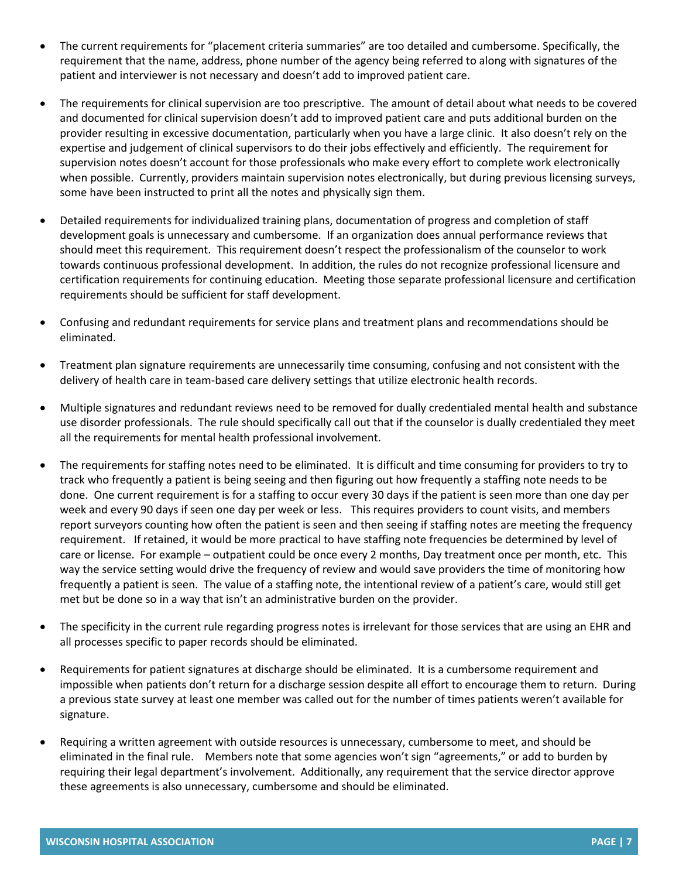- The current requirements for "placement criteria summaries" are too detailed and cumbersome. Specifically, the requirement that the name, address, phone number of the agency being referred to along with signatures of the patient and interviewer is not necessary and doesn't add to improved patient care.
- The requirements for clinical supervision are too prescriptive. The amount of detail about what needs to be covered and documented for clinical supervision doesn't add to improved patient care and puts additional burden on the provider resulting in excessive documentation, particularly when you have a large clinic. It also doesn't rely on the expertise and judgement of clinical supervisors to do their jobs effectively and efficiently. The requirement for supervision notes doesn't account for those professionals who make every effort to complete work electronically when possible. Currently, providers maintain supervision notes electronically, but during previous licensing surveys, some have been instructed to print all the notes and physically sign them.
- Detailed requirements for individualized training plans, documentation of progress and completion of staff development goals is unnecessary and cumbersome. If an organization does annual performance reviews that should meet this requirement. This requirement doesn't respect the professionalism of the counselor to work towards continuous professional development. In addition, the rules do not recognize professional licensure and certification requirements for continuing education. Meeting those separate professional licensure and certification requirements should be sufficient for staff development.
- Confusing and redundant requirements for service plans and treatment plans and recommendations should be eliminated.
- Treatment plan signature requirements are unnecessarily time consuming, confusing and not consistent with the delivery of health care in team-based care delivery settings that utilize electronic health records.
- Multiple signatures and redundant reviews need to be removed for dually credentialed mental health and substance use disorder professionals. The rule should specifically call out that if the counselor is dually credentialed they meet all the requirements for mental health professional involvement.
- The requirements for staffing notes need to be eliminated. It is difficult and time consuming for providers to try to track who frequently a patient is being seeing and then figuring out how frequently a staffing note needs to be done. One current requirement is for a staffing to occur every 30 days if the patient is seen more than one day per week and every 90 days if seen one day per week or less. This requires providers to count visits, and members report surveyors counting how often the patient is seen and then seeing if staffing notes are meeting the frequency requirement. If retained, it would be more practical to have staffing note frequencies be determined by level of care or license. For example – outpatient could be once every 2 months, Day treatment once per month, etc. This way the service setting would drive the frequency of review and would save providers the time of monitoring how frequently a patient is seen. The value of a staffing note, the intentional review of a patient's care, would still get met but be done so in a way that isn't an administrative burden on the provider.
- The specificity in the current rule regarding progress notes is irrelevant for those services that are using an EHR and all processes specific to paper records should be eliminated.
- Requirements for patient signatures at discharge should be eliminated. It is a cumbersome requirement and impossible when patients don't return for a discharge session despite all effort to encourage them to return. During a previous state survey at least one member was called out for the number of times patients weren't available for signature.
- Requiring a written agreement with outside resources is unnecessary, cumbersome to meet, and should be eliminated in the final rule. Members note that some agencies won't sign "agreements," or add to burden by requiring their legal department's involvement. Additionally, any requirement that the service director approve these agreements is also unnecessary, cumbersome and should be eliminated.